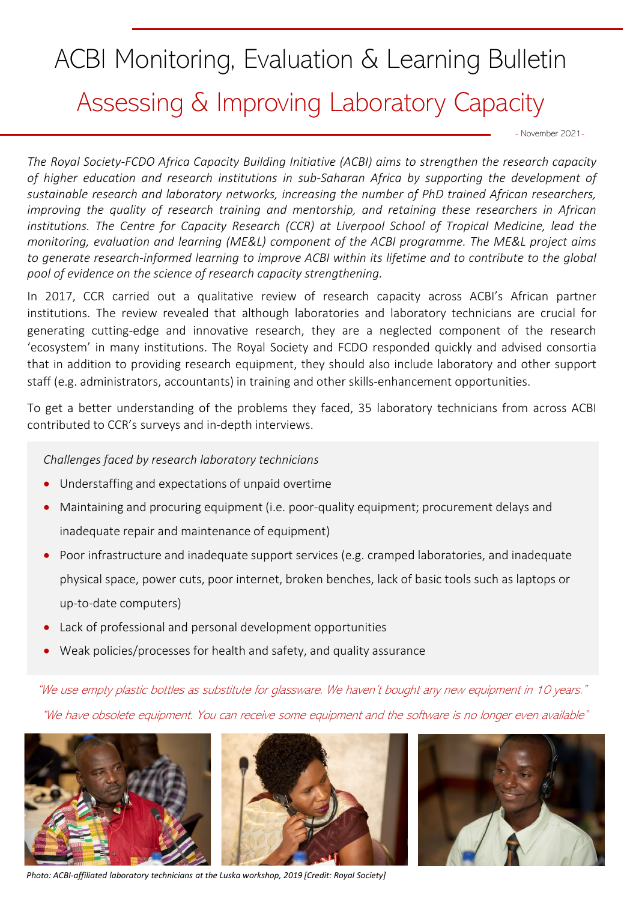# ACBI Monitoring, Evaluation & Learning Bulletin Assessing & Improving Laboratory Capacity

- November 2021-

*The Royal Society-FCDO Africa Capacity Building Initiative (ACBI) aims to strengthen the research capacity of higher education and research institutions in sub-Saharan Africa by supporting the development of sustainable research and laboratory networks, increasing the number of PhD trained African researchers, improving the quality of research training and mentorship, and retaining these researchers in African institutions. The Centre for Capacity Research (CCR) at Liverpool School of Tropical Medicine, lead the monitoring, evaluation and learning (ME&L) component of the ACBI programme. The ME&L project aims to generate research-informed learning to improve ACBI within its lifetime and to contribute to the global pool of evidence on the science of research capacity strengthening.*

In 2017, CCR carried out a qualitative review of research capacity across ACBI's African partner institutions. The review revealed that although laboratories and laboratory technicians are crucial for generating cutting-edge and innovative research, they are a neglected component of the research 'ecosystem' in many institutions. The Royal Society and FCDO responded quickly and advised consortia that in addition to providing research equipment, they should also include laboratory and other support staff (e.g. administrators, accountants) in training and other skills-enhancement opportunities.

To get a better understanding of the problems they faced, 35 laboratory technicians from across ACBI contributed to CCR's surveys and in-depth interviews.

## *Challenges faced by research laboratory technicians*

- Understaffing and expectations of unpaid overtime
- Maintaining and procuring equipment (i.e. poor-quality equipment; procurement delays and inadequate repair and maintenance of equipment)
- Poor infrastructure and inadequate support services (e.g. cramped laboratories, and inadequate physical space, power cuts, poor internet, broken benches, lack of basic tools such as laptops or up-to-date computers)
- Lack of professional and personal development opportunities
- Weak policies/processes for health and safety, and quality assurance

"We use empty plastic bottles as substitute for glassware. We haven't bought any new equipment in 10 years."

"We have obsolete equipment. You can receive some equipment and the software is no longer even available"



*Photo: ACBI-affiliated laboratory technicians at the Luska workshop, 2019 [Credit: Royal Society]* 

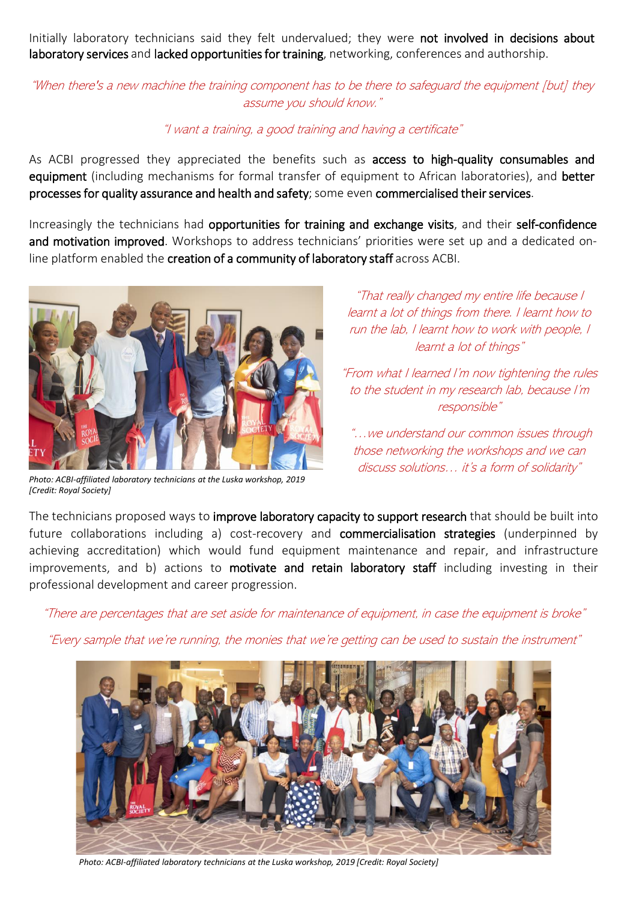Initially laboratory technicians said they felt undervalued; they were not involved in decisions about laboratory services and lacked opportunities for training, networking, conferences and authorship.

"When there's a new machine the training component has to be there to safeguard the equipment [but] they assume you should know."

#### "I want a training, a good training and having a certificate"

As ACBI progressed they appreciated the benefits such as access to high-quality consumables and equipment (including mechanisms for formal transfer of equipment to African laboratories), and better processes for quality assurance and health and safety; some even commercialised their services.

Increasingly the technicians had opportunities for training and exchange visits, and their self-confidence and motivation improved. Workshops to address technicians' priorities were set up and a dedicated online platform enabled the creation of a community of laboratory staff across ACBI.



*Photo: ACBI-affiliated laboratory technicians at the Luska workshop, 2019 [Credit: Royal Society]* 

"That really changed my entire life because I learnt a lot of things from there. I learnt how to run the lab, I learnt how to work with people, I learnt a lot of things"

"From what I learned I'm now tightening the rules to the student in my research lab, because I'm responsible"

"…we understand our common issues through those networking the workshops and we can discuss solutions… it's a form of solidarity"

The technicians proposed ways to improve laboratory capacity to support research that should be built into future collaborations including a) cost-recovery and commercialisation strategies (underpinned by achieving accreditation) which would fund equipment maintenance and repair, and infrastructure improvements, and b) actions to motivate and retain laboratory staff including investing in their professional development and career progression.

"There are percentages that are set aside for maintenance of equipment, in case the equipment is broke"

"Every sample that we're running, the monies that we're getting can be used to sustain the instrument"



*Photo: ACBI-affiliated laboratory technicians at the Luska workshop, 2019 [Credit: Royal Society]*